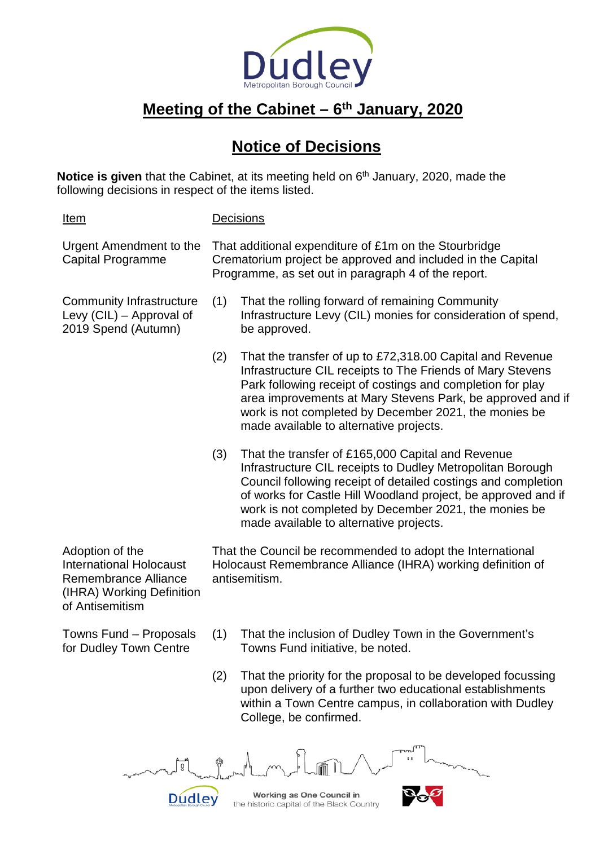

## **Meeting of the Cabinet – 6th January, 2020**

## **Notice of Decisions**

**Notice is given** that the Cabinet, at its meeting held on 6<sup>th</sup> January, 2020, made the following decisions in respect of the items listed.

Item Decisions Urgent Amendment to the Capital Programme That additional expenditure of £1m on the Stourbridge Crematorium project be approved and included in the Capital Programme, as set out in paragraph 4 of the report. Community Infrastructure Levy (CIL) – Approval of 2019 Spend (Autumn) (1) That the rolling forward of remaining Community Infrastructure Levy (CIL) monies for consideration of spend, be approved. (2) That the transfer of up to £72,318.00 Capital and Revenue Infrastructure CIL receipts to The Friends of Mary Stevens Park following receipt of costings and completion for play area improvements at Mary Stevens Park, be approved and if work is not completed by December 2021, the monies be made available to alternative projects. (3) That the transfer of £165,000 Capital and Revenue Infrastructure CIL receipts to Dudley Metropolitan Borough Council following receipt of detailed costings and completion of works for Castle Hill Woodland project, be approved and if work is not completed by December 2021, the monies be made available to alternative projects. That the Council be recommended to adopt the International

Adoption of the International Holocaust Remembrance Alliance (IHRA) Working Definition of Antisemitism

Towns Fund – Proposals for Dudley Town Centre

Holocaust Remembrance Alliance (IHRA) working definition of antisemitism.

- (1) That the inclusion of Dudley Town in the Government's Towns Fund initiative, be noted.
- (2) That the priority for the proposal to be developed focussing upon delivery of a further two educational establishments within a Town Centre campus, in collaboration with Dudley College, be confirmed.

 $\overline{0}$ Working as One Council in Dudley the historic capital of the Black Country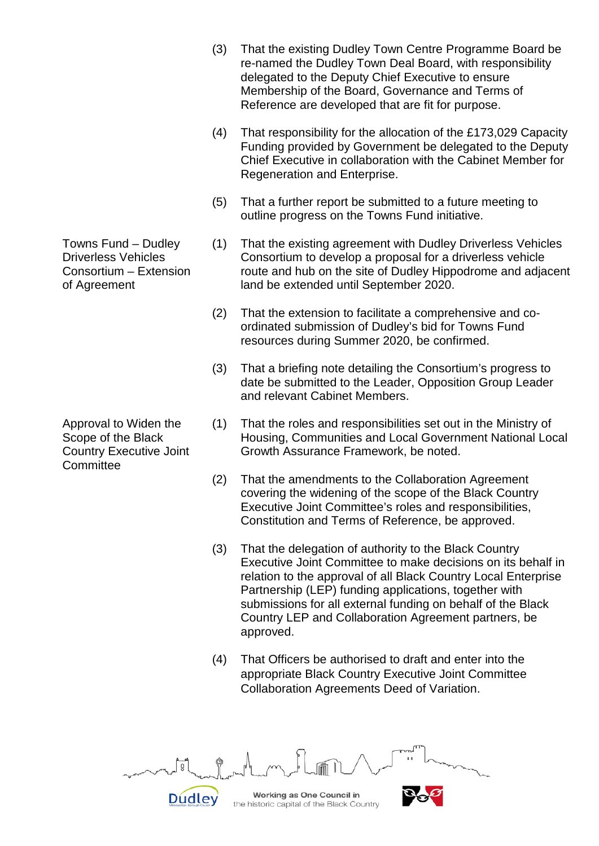- (3) That the existing Dudley Town Centre Programme Board be re-named the Dudley Town Deal Board, with responsibility delegated to the Deputy Chief Executive to ensure Membership of the Board, Governance and Terms of Reference are developed that are fit for purpose.
- (4) That responsibility for the allocation of the £173,029 Capacity Funding provided by Government be delegated to the Deputy Chief Executive in collaboration with the Cabinet Member for Regeneration and Enterprise.
- (5) That a further report be submitted to a future meeting to outline progress on the Towns Fund initiative.
- (1) That the existing agreement with Dudley Driverless Vehicles Consortium to develop a proposal for a driverless vehicle route and hub on the site of Dudley Hippodrome and adjacent land be extended until September 2020.
- (2) That the extension to facilitate a comprehensive and coordinated submission of Dudley's bid for Towns Fund resources during Summer 2020, be confirmed.
- (3) That a briefing note detailing the Consortium's progress to date be submitted to the Leader, Opposition Group Leader and relevant Cabinet Members.
- (1) That the roles and responsibilities set out in the Ministry of Housing, Communities and Local Government National Local Growth Assurance Framework, be noted.
- (2) That the amendments to the Collaboration Agreement covering the widening of the scope of the Black Country Executive Joint Committee's roles and responsibilities, Constitution and Terms of Reference, be approved.
- (3) That the delegation of authority to the Black Country Executive Joint Committee to make decisions on its behalf in relation to the approval of all Black Country Local Enterprise Partnership (LEP) funding applications, together with submissions for all external funding on behalf of the Black Country LEP and Collaboration Agreement partners, be approved.
- (4) That Officers be authorised to draft and enter into the appropriate Black Country Executive Joint Committee Collaboration Agreements Deed of Variation.



Towns Fund – Dudley Driverless Vehicles Consortium – Extension of Agreement

Approval to Widen the Scope of the Black Country Executive Joint **Committee**